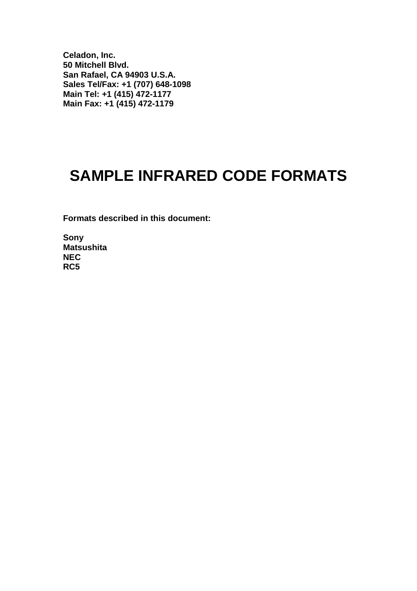**Celadon, Inc. 50 Mitchell Blvd. San Rafael, CA 94903 U.S.A. Sales Tel/Fax: +1 (707) 648-1098 Main Tel: +1 (415) 472-1177 Main Fax: +1 (415) 472-1179**

## **SAMPLE INFRARED CODE FORMATS**

**Formats described in this document:**

**Sony Matsushita NEC RC5**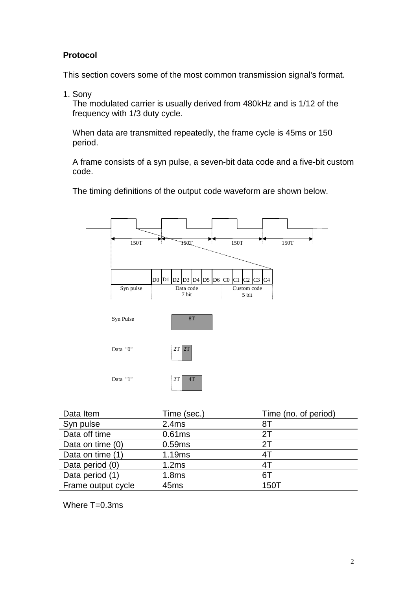## **Protocol**

This section covers some of the most common transmission signal's format.

1. Sony

The modulated carrier is usually derived from 480kHz and is 1/12 of the frequency with 1/3 duty cycle.

When data are transmitted repeatedly, the frame cycle is 45ms or 150 period.

A frame consists of a syn pulse, a seven-bit data code and a five-bit custom code.

The timing definitions of the output code waveform are shown below.



| Data Item          | Time (sec.)       | Time (no. of period) |
|--------------------|-------------------|----------------------|
| Syn pulse          | 2.4ms             | 81                   |
| Data off time      | 0.61ms            | 2Τ                   |
| Data on time (0)   | 0.59ms            | 2T                   |
| Data on time (1)   | 1.19ms            | 4T                   |
| Data period (0)    | 1.2ms             | 4T                   |
| Data period (1)    | 1.8 <sub>ms</sub> | 6T                   |
| Frame output cycle | 45 <sub>ms</sub>  | 150T                 |

Where T=0.3ms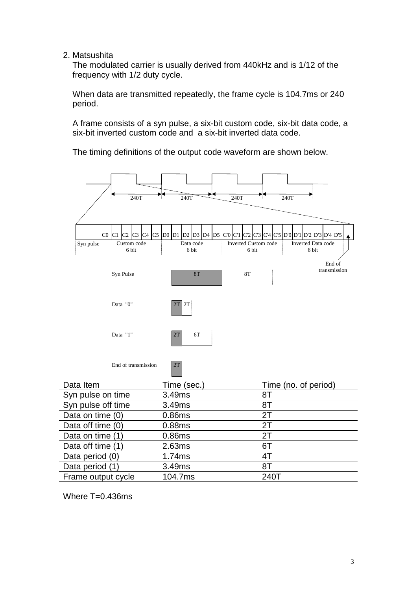2. Matsushita

The modulated carrier is usually derived from 440kHz and is 1/12 of the frequency with 1/2 duty cycle.

When data are transmitted repeatedly, the frame cycle is 104.7ms or 240 period.

A frame consists of a syn pulse, a six-bit custom code, six-bit data code, a six-bit inverted custom code and a six-bit inverted data code.

The timing definitions of the output code waveform are shown below.



Where  $T=0.436$ ms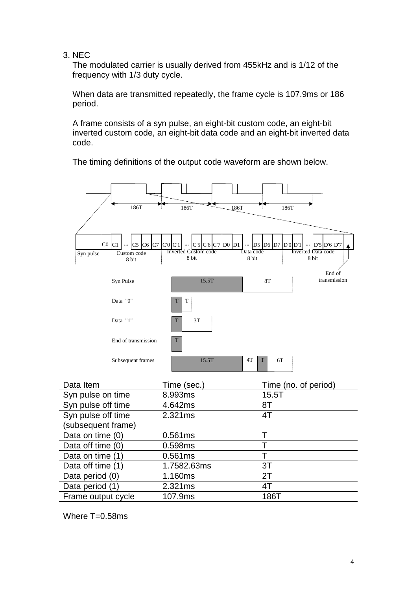3. NEC

The modulated carrier is usually derived from 455kHz and is 1/12 of the frequency with 1/3 duty cycle.

When data are transmitted repeatedly, the frame cycle is 107.9ms or 186 period.

A frame consists of a syn pulse, an eight-bit custom code, an eight-bit inverted custom code, an eight-bit data code and an eight-bit inverted data code.

The timing definitions of the output code waveform are shown below.



| Data Item          | Time (sec.) | Time (no. of period) |
|--------------------|-------------|----------------------|
| Syn pulse on time  | 8.993ms     | 15.5T                |
| Syn pulse off time | 4.642ms     | 8T                   |
| Syn pulse off time | 2.321ms     | 4T                   |
| (subsequent frame) |             |                      |
| Data on time (0)   | 0.561ms     |                      |
| Data off time (0)  | 0.598ms     |                      |
| Data on time (1)   | 0.561ms     |                      |
| Data off time (1)  | 1.7582.63ms | 3T                   |
| Data period (0)    | 1.160ms     | 2T                   |
| Data period (1)    | 2.321ms     | 4T                   |
| Frame output cycle | 107.9ms     | 186T                 |

Where T=0.58ms